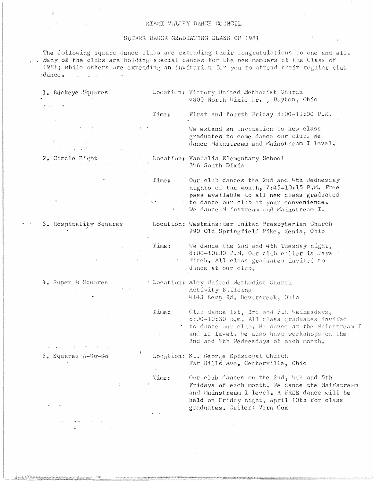## MIAMI VALLEY DANCE COUNCIL

## SOUARE DANCE GRADUATING CLASS OF 1981

The following square dance clubs are extending their congratulations to one and all. . Many of the clubs are holding special dances for the new members of the Class of 1981; while others are extending an invitation for you to attend their regular club :dance.  $\mathbf{r}$ 

| 1. Buckeye Squares<br>The Controller<br>the contract of the contract of the contract of the contract of the contract of the contract of<br>$\mathcal{L}=\mathcal{L}(\mathcal{L}(\mathcal{L}(\mathcal{L}(\mathcal{L}(\mathcal{L}(\mathcal{L}(\mathcal{L}(\mathcal{L}(\mathcal{L}(\mathcal{L}(\mathcal{L}(\mathcal{L}(\mathcal{L}(\mathcal{L}(\mathcal{L}(\mathcal{L}(\mathcal{L}(\mathcal{L}(\mathcal{L}(\mathcal{L}(\mathcal{L}(\mathcal{L}(\mathcal{L}(\mathcal{L}(\mathcal{L}(\mathcal{L}(\mathcal{L}(\mathcal{L}(\mathcal{L}(\mathcal{L}(\mathcal{L}(\mathcal{L}(\mathcal{L}(\mathcal{L}(\mathcal{$ |       | Location: Victory United Methodist Church<br>4800 North Dixie Dr., Dayton, Ohio |
|--------------------------------------------------------------------------------------------------------------------------------------------------------------------------------------------------------------------------------------------------------------------------------------------------------------------------------------------------------------------------------------------------------------------------------------------------------------------------------------------------------------------------------------------------------------------------------------------------------|-------|---------------------------------------------------------------------------------|
|                                                                                                                                                                                                                                                                                                                                                                                                                                                                                                                                                                                                        | Time: | First and fourth Friday 8:00-11:00 P.M.                                         |

Time:

Time:

2. Circle Eight

3. Hospitality Squares

Location: Vandalia Elementary School

346 South Dixie

Our club dances the 2nd and 4th Wednesday nights of the month, 7:45-10:15 P.M. Free pass available to all new class graduates to dance our club at your convenience. We dance Mainstream and Mainstream I.

We extend an invitation to new class graduates to come dance our club. We dance Mainstream and Mainstream I level.

Location: Westminsiter United Presbyterlan Church 990 Old Springfield Pike, Xenia, Ohio

> We dance the 2nd and 4th Tuesday night, 8:00-10:30 P.M. Our club caller is Jaye Fitch. All class graduates invited to dance at our club.

- 4. Super B Squares . Location: Aley United Methodist Church Activity Building 4143 Kemp Rd, Bevercreek, Ohio
	- Club dance 1st, 3rd and 5th Wednesdays, Time: 8:00-10:30 p.m. All class graduates invited to dance our club. We dance at the Mainstream I and II level. We also have workshops on the 2nd and 4th Wednesdays of each month.
- $5.$  Squares  $A = G \circ G$ Location: St. George Episcopal Church Far Hills Ave. Centerville, Ohio Our club dances on the 2nd, 4th and 5th Time:

Fridays of each month. We dance the Mainstream and Mainstream I level. A FREE dance will be held on Friday night, April 10th for class graduates. Caller: Vern Cox